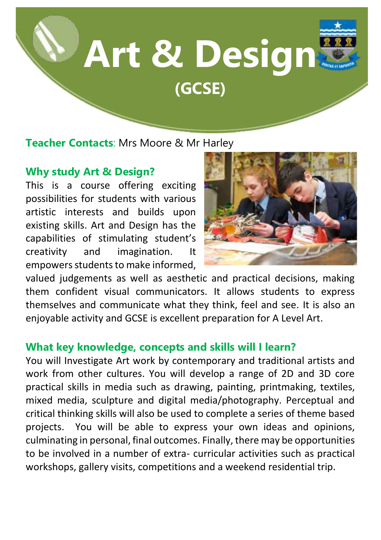

**Teacher Contacts**: Mrs Moore & Mr Harley

# **Why study Art & Design?**

This is a course offering exciting possibilities for students with various artistic interests and builds upon existing skills. Art and Design has the capabilities of stimulating student's creativity and imagination. It empowers students to make informed,



valued judgements as well as aesthetic and practical decisions, making them confident visual communicators. It allows students to express themselves and communicate what they think, feel and see. It is also an enjoyable activity and GCSE is excellent preparation for A Level Art.

## **What key knowledge, concepts and skills will I learn?**

You will Investigate Art work by contemporary and traditional artists and work from other cultures. You will develop a range of 2D and 3D core practical skills in media such as drawing, painting, printmaking, textiles, mixed media, sculpture and digital media/photography. Perceptual and critical thinking skills will also be used to complete a series of theme based projects. You will be able to express your own ideas and opinions, culminating in personal, final outcomes. Finally, there may be opportunities to be involved in a number of extra- curricular activities such as practical workshops, gallery visits, competitions and a weekend residential trip.